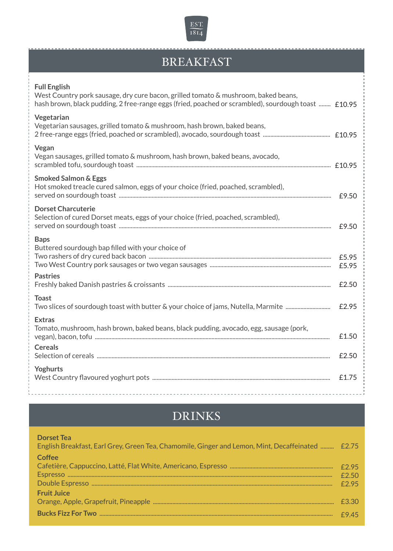

## BREAKFAST

| <b>Full English</b><br>West Country pork sausage, dry cure bacon, grilled tomato & mushroom, baked beans,<br>hash brown, black pudding, 2 free-range eggs (fried, poached or scrambled), sourdough toast  £10.95 |                |
|------------------------------------------------------------------------------------------------------------------------------------------------------------------------------------------------------------------|----------------|
| Vegetarian<br>Vegetarian sausages, grilled tomato & mushroom, hash brown, baked beans,                                                                                                                           |                |
| Vegan<br>Vegan sausages, grilled tomato & mushroom, hash brown, baked beans, avocado,                                                                                                                            |                |
| <b>Smoked Salmon &amp; Eggs</b><br>Hot smoked treacle cured salmon, eggs of your choice (fried, poached, scrambled),                                                                                             |                |
| <b>Dorset Charcuterie</b><br>Selection of cured Dorset meats, eggs of your choice (fried, poached, scrambled),                                                                                                   |                |
| <b>Baps</b><br>Buttered sourdough bap filled with your choice of                                                                                                                                                 | £5.95<br>£5.95 |
| <b>Pastries</b>                                                                                                                                                                                                  | £2.50          |
| <b>Toast</b><br>Two slices of sourdough toast with butter & your choice of jams, Nutella, Marmite                                                                                                                | £2.95          |
| <b>Extras</b><br>Tomato, mushroom, hash brown, baked beans, black pudding, avocado, egg, sausage (pork,                                                                                                          | £1.50          |
| <b>Cereals</b>                                                                                                                                                                                                   | £2.50          |
| Yoghurts                                                                                                                                                                                                         | £1.75          |

## DRINKS

| <b>Dorset Tea</b><br>English Breakfast, Earl Grey, Green Tea, Chamomile, Ginger and Lemon, Mint, Decaffeinated  £2.75 |       |
|-----------------------------------------------------------------------------------------------------------------------|-------|
| Coffee                                                                                                                |       |
|                                                                                                                       | f2.95 |
|                                                                                                                       | f2.50 |
|                                                                                                                       | f2.95 |
| <b>Fruit Juice</b>                                                                                                    |       |
|                                                                                                                       | £3.30 |
|                                                                                                                       | £945  |